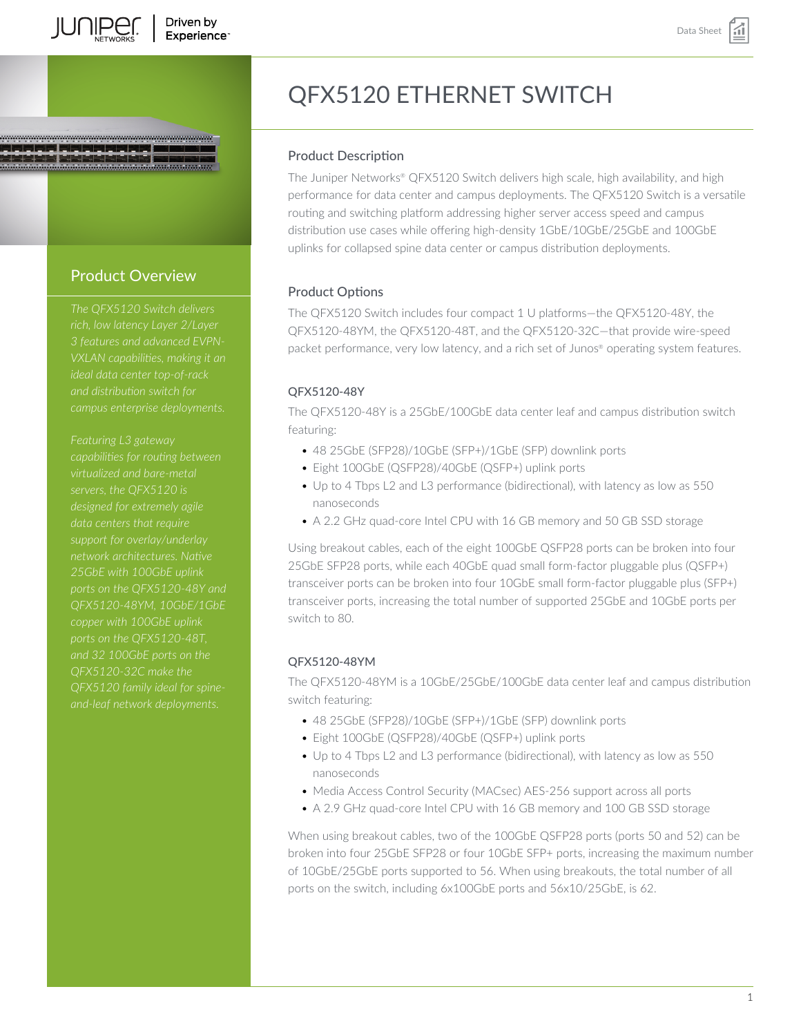

# Product Overview

*The QFX5120 Switch delivers rich, low latency Layer 2/Layer 3 features and advanced EVPNand distribution switch for*

*Featuring L3 gateway capabilities for routing between virtualized and bare-metal servers, the QFX5120 is designed for extremely agile network architectures. Native 25GbE with 100GbE uplink ports on the QFX5120-48Y and QFX5120-48YM, 10GbE/1GbE ports on the QFX5120-48T, QFX5120-32C make the QFX5120 family ideal for spine-*

# QFX5120 ETHERNET SWITCH

# Product Description

The Juniper Networks® QFX5120 Switch delivers high scale, high availability, and high performance for data center and campus deployments. The QFX5120 Switch is a versatile routing and switching platform addressing higher server access speed and campus distribution use cases while offering high-density 1GbE/10GbE/25GbE and 100GbE uplinks for collapsed spine data center or campus distribution deployments.

# Product Options

The QFX5120 Switch includes four compact 1 U platforms—the QFX5120-48Y, the QFX5120-48YM, the QFX5120-48T, and the QFX5120-32C—that provide wire-speed packet performance, very low latency, and a rich set of Junos® operating system features.

# QFX5120-48Y

The QFX5120-48Y is a 25GbE/100GbE data center leaf and campus distribution switch featuring:

- 48 25GbE (SFP28)/10GbE (SFP+)/1GbE (SFP) downlink ports
- Eight 100GbE (QSFP28)/40GbE (QSFP+) uplink ports
- Up to 4 Tbps L2 and L3 performance (bidirectional), with latency as low as 550 nanoseconds
- A 2.2 GHz quad-core Intel CPU with 16 GB memory and 50 GB SSD storage

Using breakout cables, each of the eight 100GbE QSFP28 ports can be broken into four 25GbE SFP28 ports, while each 40GbE quad small form-factor pluggable plus (QSFP+) transceiver ports can be broken into four 10GbE small form-factor pluggable plus (SFP+) transceiver ports, increasing the total number of supported 25GbE and 10GbE ports per switch to 80.

# QFX5120-48YM

The QFX5120-48YM is a 10GbE/25GbE/100GbE data center leaf and campus distribution switch featuring:

- 48 25GbE (SFP28)/10GbE (SFP+)/1GbE (SFP) downlink ports
- Eight 100GbE (QSFP28)/40GbE (QSFP+) uplink ports
- Up to 4 Tbps L2 and L3 performance (bidirectional), with latency as low as 550 nanoseconds
- Media Access Control Security (MACsec) AES-256 support across all ports
- A 2.9 GHz quad-core Intel CPU with 16 GB memory and 100 GB SSD storage

When using breakout cables, two of the 100GbE QSFP28 ports (ports 50 and 52) can be broken into four 25GbE SFP28 or four 10GbE SFP+ ports, increasing the maximum number of 10GbE/25GbE ports supported to 56. When using breakouts, the total number of all ports on the switch, including 6x100GbE ports and 56x10/25GbE, is 62.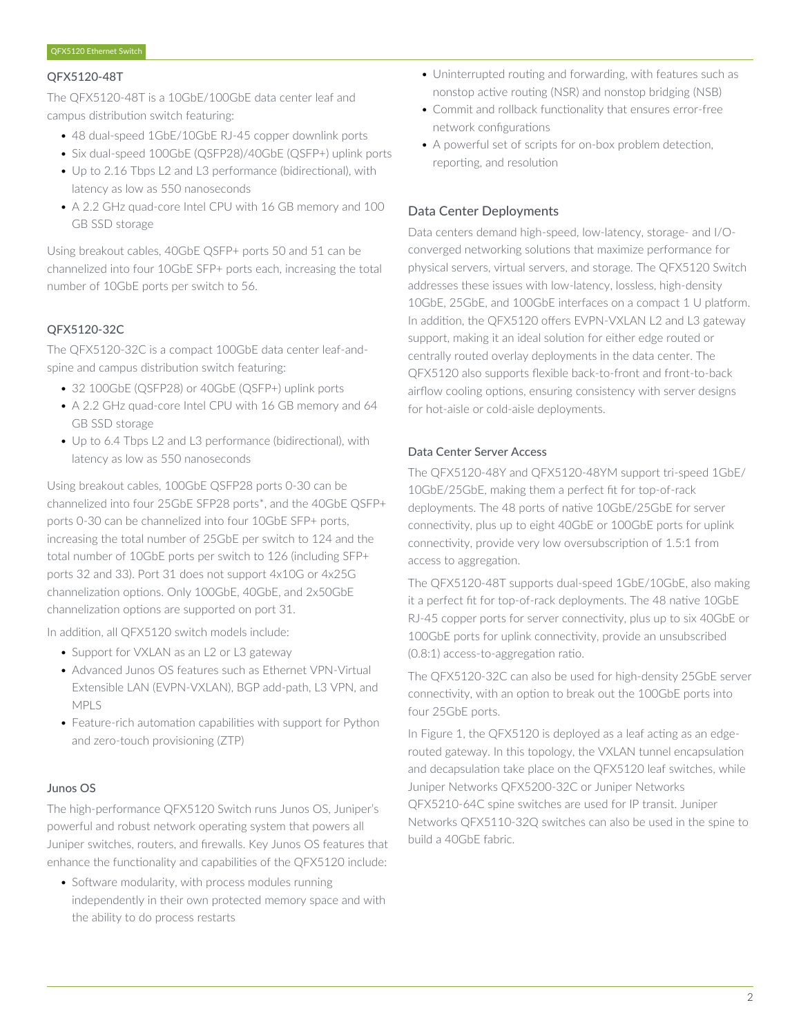#### QFX5120-48T

The QFX5120-48T is a 10GbE/100GbE data center leaf and campus distribution switch featuring:

- 48 dual-speed 1GbE/10GbE RJ-45 copper downlink ports
- Six dual-speed 100GbE (QSFP28)/40GbE (QSFP+) uplink ports
- Up to 2.16 Tbps L2 and L3 performance (bidirectional), with latency as low as 550 nanoseconds
- A 2.2 GHz quad-core Intel CPU with 16 GB memory and 100 GB SSD storage

Using breakout cables, 40GbE QSFP+ ports 50 and 51 can be channelized into four 10GbE SFP+ ports each, increasing the total number of 10GbE ports per switch to 56.

# QFX5120-32C

The QFX5120-32C is a compact 100GbE data center leaf-andspine and campus distribution switch featuring:

- 32 100GbE (QSFP28) or 40GbE (QSFP+) uplink ports
- A 2.2 GHz quad-core Intel CPU with 16 GB memory and 64 GB SSD storage
- Up to 6.4 Tbps L2 and L3 performance (bidirectional), with latency as low as 550 nanoseconds

Using breakout cables, 100GbE QSFP28 ports 0-30 can be channelized into four 25GbE SFP28 ports\*, and the 40GbE QSFP+ ports 0-30 can be channelized into four 10GbE SFP+ ports, increasing the total number of 25GbE per switch to 124 and the total number of 10GbE ports per switch to 126 (including SFP+ ports 32 and 33). Port 31 does not support 4x10G or 4x25G channelization options. Only 100GbE, 40GbE, and 2x50GbE channelization options are supported on port 31.

In addition, all QFX5120 switch models include:

- Support for VXLAN as an L2 or L3 gateway
- Advanced Junos OS features such as Ethernet VPN-Virtual Extensible LAN (EVPN-VXLAN), BGP add-path, L3 VPN, and MPLS
- Feature-rich automation capabilities with support for Python and zero-touch provisioning (ZTP)

#### Junos OS

The high-performance QFX5120 Switch runs Junos OS, Juniper's powerful and robust network operating system that powers all Juniper switches, routers, and firewalls. Key Junos OS features that enhance the functionality and capabilities of the QFX5120 include:

• Software modularity, with process modules running independently in their own protected memory space and with the ability to do process restarts

- Uninterrupted routing and forwarding, with features such as nonstop active routing (NSR) and nonstop bridging (NSB)
- Commit and rollback functionality that ensures error-free network configurations
- A powerful set of scripts for on-box problem detection, reporting, and resolution

# Data Center Deployments

Data centers demand high-speed, low-latency, storage- and I/Oconverged networking solutions that maximize performance for physical servers, virtual servers, and storage. The QFX5120 Switch addresses these issues with low-latency, lossless, high-density 10GbE, 25GbE, and 100GbE interfaces on a compact 1 U platform. In addition, the QFX5120 offers EVPN-VXLAN L2 and L3 gateway support, making it an ideal solution for either edge routed or centrally routed overlay deployments in the data center. The QFX5120 also supports flexible back-to-front and front-to-back airflow cooling options, ensuring consistency with server designs for hot-aisle or cold-aisle deployments.

# Data Center Server Access

The QFX5120-48Y and QFX5120-48YM support tri-speed 1GbE/ 10GbE/25GbE, making them a perfect fit for top-of-rack deployments. The 48 ports of native 10GbE/25GbE for server connectivity, plus up to eight 40GbE or 100GbE ports for uplink connectivity, provide very low oversubscription of 1.5:1 from access to aggregation.

The QFX5120-48T supports dual-speed 1GbE/10GbE, also making it a perfect fit for top-of-rack deployments. The 48 native 10GbE RJ-45 copper ports for server connectivity, plus up to six 40GbE or 100GbE ports for uplink connectivity, provide an unsubscribed (0.8:1) access-to-aggregation ratio.

The QFX5120-32C can also be used for high-density 25GbE server connectivity, with an option to break out the 100GbE ports into four 25GbE ports.

In Figure 1, the QFX5120 is deployed as a leaf acting as an edgerouted gateway. In this topology, the VXLAN tunnel encapsulation and decapsulation take place on the QFX5120 leaf switches, while Juniper Networks QFX5200-32C or Juniper Networks QFX5210-64C spine switches are used for IP transit. Juniper Networks QFX5110-32Q switches can also be used in the spine to build a 40GbE fabric.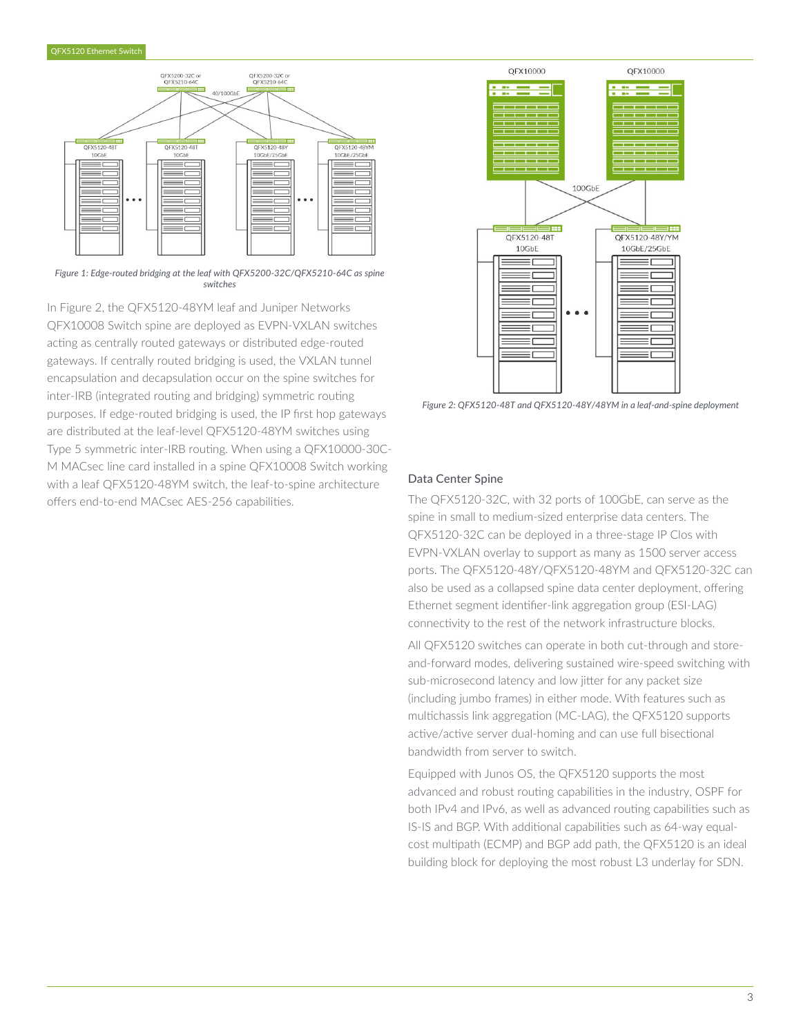

*Figure 1: Edge-routed bridging at the leaf with QFX5200-32C/QFX5210-64C as spine switches*

In Figure 2, the QFX5120-48YM leaf and Juniper Networks QFX10008 Switch spine are deployed as EVPN-VXLAN switches acting as centrally routed gateways or distributed edge-routed gateways. If centrally routed bridging is used, the VXLAN tunnel encapsulation and decapsulation occur on the spine switches for inter-IRB (integrated routing and bridging) symmetric routing purposes. If edge-routed bridging is used, the IP first hop gateways are distributed at the leaf-level QFX5120-48YM switches using Type 5 symmetric inter-IRB routing. When using a QFX10000-30C-M MACsec line card installed in a spine QFX10008 Switch working with a leaf QFX5120-48YM switch, the leaf-to-spine architecture offers end-to-end MACsec AES-256 capabilities.



*Figure 2: QFX5120-48T and QFX5120-48Y/48YM in a leaf-and-spine deployment*

#### Data Center Spine

The QFX5120-32C, with 32 ports of 100GbE, can serve as the spine in small to medium-sized enterprise data centers. The QFX5120-32C can be deployed in a three-stage IP Clos with EVPN-VXLAN overlay to support as many as 1500 server access ports. The QFX5120-48Y/QFX5120-48YM and QFX5120-32C can also be used as a collapsed spine data center deployment, offering Ethernet segment identifier-link aggregation group (ESI-LAG) connectivity to the rest of the network infrastructure blocks.

All QFX5120 switches can operate in both cut-through and storeand-forward modes, delivering sustained wire-speed switching with sub-microsecond latency and low jitter for any packet size (including jumbo frames) in either mode. With features such as multichassis link aggregation (MC-LAG), the QFX5120 supports active/active server dual-homing and can use full bisectional bandwidth from server to switch.

Equipped with Junos OS, the QFX5120 supports the most advanced and robust routing capabilities in the industry, OSPF for both IPv4 and IPv6, as well as advanced routing capabilities such as IS-IS and BGP. With additional capabilities such as 64-way equalcost multipath (ECMP) and BGP add path, the QFX5120 is an ideal building block for deploying the most robust L3 underlay for SDN.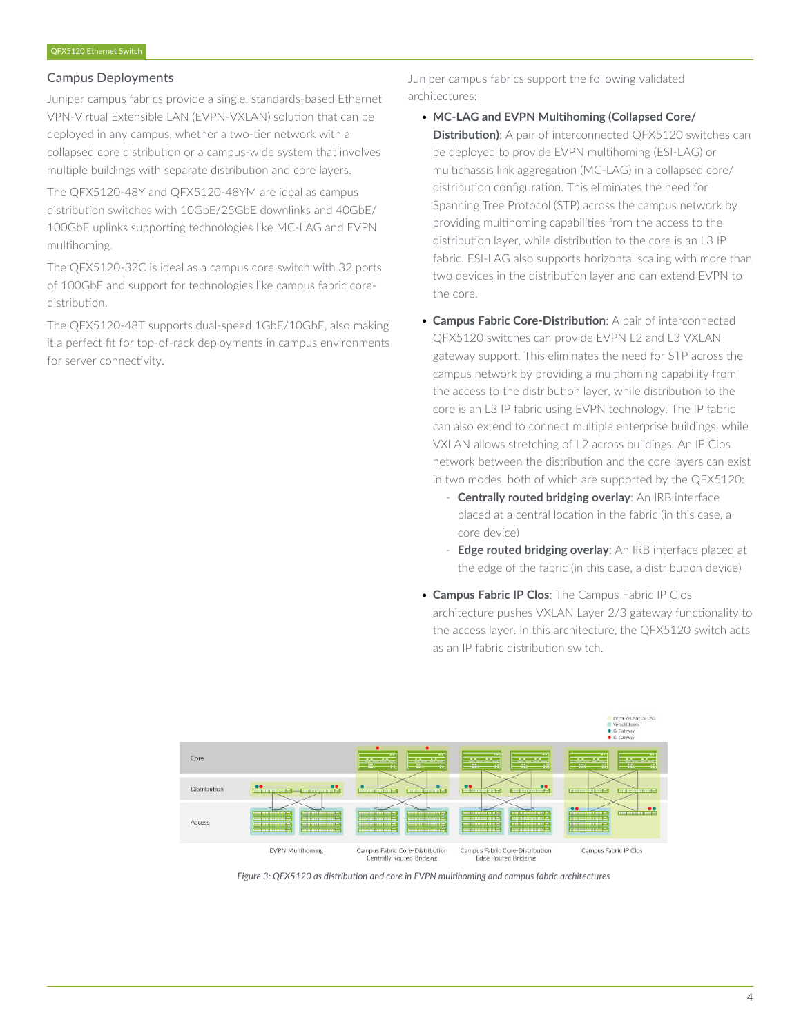# Campus Deployments

Juniper campus fabrics provide a single, standards-based Ethernet VPN-Virtual Extensible LAN (EVPN-VXLAN) solution that can be deployed in any campus, whether a two-tier network with a collapsed core distribution or a campus-wide system that involves multiple buildings with separate distribution and core layers.

The QFX5120-48Y and QFX5120-48YM are ideal as campus distribution switches with 10GbE/25GbE downlinks and 40GbE/ 100GbE uplinks supporting technologies like MC-LAG and EVPN multihoming.

The QFX5120-32C is ideal as a campus core switch with 32 ports of 100GbE and support for technologies like campus fabric coredistribution.

The QFX5120-48T supports dual-speed 1GbE/10GbE, also making it a perfect fit for top-of-rack deployments in campus environments for server connectivity.

Juniper campus fabrics support the following validated architectures:

- **MC-LAG and EVPN Multihoming (Collapsed Core/ Distribution)**: A pair of interconnected QFX5120 switches can be deployed to provide EVPN multihoming (ESI-LAG) or multichassis link aggregation (MC-LAG) in a collapsed core/ distribution configuration. This eliminates the need for Spanning Tree Protocol (STP) across the campus network by providing multihoming capabilities from the access to the distribution layer, while distribution to the core is an L3 IP fabric. ESI-LAG also supports horizontal scaling with more than two devices in the distribution layer and can extend EVPN to the core.
- **Campus Fabric Core-Distribution**: A pair of interconnected QFX5120 switches can provide EVPN L2 and L3 VXLAN gateway support. This eliminates the need for STP across the campus network by providing a multihoming capability from the access to the distribution layer, while distribution to the core is an L3 IP fabric using EVPN technology. The IP fabric can also extend to connect multiple enterprise buildings, while VXLAN allows stretching of L2 across buildings. An IP Clos network between the distribution and the core layers can exist in two modes, both of which are supported by the QFX5120:
	- **Centrally routed bridging overlay**: An IRB interface placed at a central location in the fabric (in this case, a core device)
	- **Edge routed bridging overlay**: An IRB interface placed at the edge of the fabric (in this case, a distribution device)
- **Campus Fabric IP Clos**: The Campus Fabric IP Clos architecture pushes VXLAN Layer 2/3 gateway functionality to the access layer. In this architecture, the QFX5120 switch acts as an IP fabric distribution switch.



*Figure 3: QFX5120 as distribution and core in EVPN multihoming and campus fabric architectures*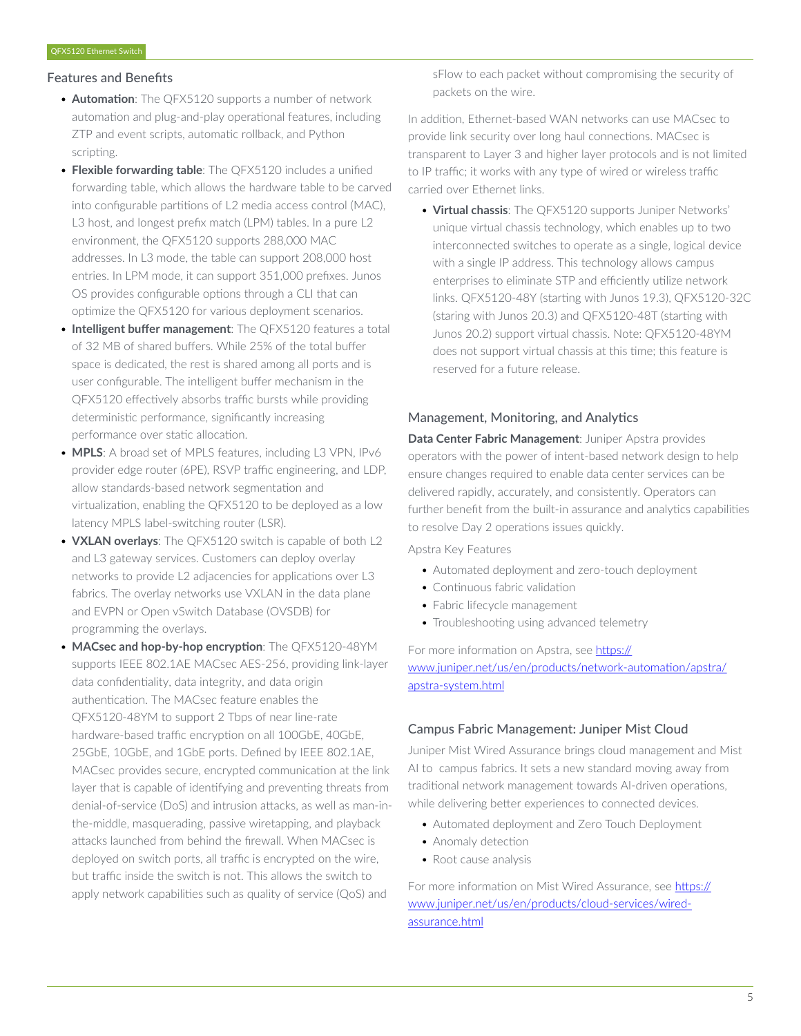#### Features and Benefits

- **Automation**: The QFX5120 supports a number of network automation and plug-and-play operational features, including ZTP and event scripts, automatic rollback, and Python scripting.
- **Flexible forwarding table**: The QFX5120 includes a unified forwarding table, which allows the hardware table to be carved into configurable partitions of L2 media access control (MAC), L3 host, and longest prefix match (LPM) tables. In a pure L2 environment, the QFX5120 supports 288,000 MAC addresses. In L3 mode, the table can support 208,000 host entries. In LPM mode, it can support 351,000 prefixes. Junos OS provides configurable options through a CLI that can optimize the QFX5120 for various deployment scenarios.
- **Intelligent buffer management**: The QFX5120 features a total of 32 MB of shared buffers. While 25% of the total buffer space is dedicated, the rest is shared among all ports and is user configurable. The intelligent buffer mechanism in the QFX5120 effectively absorbs traffic bursts while providing deterministic performance, significantly increasing performance over static allocation.
- **MPLS**: A broad set of MPLS features, including L3 VPN, IPv6 provider edge router (6PE), RSVP traffic engineering, and LDP, allow standards-based network segmentation and virtualization, enabling the QFX5120 to be deployed as a low latency MPLS label-switching router (LSR).
- **VXLAN overlays**: The QFX5120 switch is capable of both L2 and L3 gateway services. Customers can deploy overlay networks to provide L2 adjacencies for applications over L3 fabrics. The overlay networks use VXLAN in the data plane and EVPN or Open vSwitch Database (OVSDB) for programming the overlays.
- **MACsec and hop-by-hop encryption**: The QFX5120-48YM supports IEEE 802.1AE MACsec AES-256, providing link-layer data confidentiality, data integrity, and data origin authentication. The MACsec feature enables the QFX5120-48YM to support 2 Tbps of near line-rate hardware-based traffic encryption on all 100GbE, 40GbE, 25GbE, 10GbE, and 1GbE ports. Defined by IEEE 802.1AE, MACsec provides secure, encrypted communication at the link layer that is capable of identifying and preventing threats from denial-of-service (DoS) and intrusion attacks, as well as man-inthe-middle, masquerading, passive wiretapping, and playback attacks launched from behind the firewall. When MACsec is deployed on switch ports, all traffic is encrypted on the wire, but traffic inside the switch is not. This allows the switch to apply network capabilities such as quality of service (QoS) and

sFlow to each packet without compromising the security of packets on the wire.

In addition, Ethernet-based WAN networks can use MACsec to provide link security over long haul connections. MACsec is transparent to Layer 3 and higher layer protocols and is not limited to IP traffic; it works with any type of wired or wireless traffic carried over Ethernet links.

• **Virtual chassis**: The QFX5120 supports Juniper Networks' unique virtual chassis technology, which enables up to two interconnected switches to operate as a single, logical device with a single IP address. This technology allows campus enterprises to eliminate STP and efficiently utilize network links. QFX5120-48Y (starting with Junos 19.3), QFX5120-32C (staring with Junos 20.3) and QFX5120-48T (starting with Junos 20.2) support virtual chassis. Note: QFX5120-48YM does not support virtual chassis at this time; this feature is reserved for a future release.

# Management, Monitoring, and Analytics

**Data Center Fabric Management**: Juniper Apstra provides operators with the power of intent-based network design to help ensure changes required to enable data center services can be delivered rapidly, accurately, and consistently. Operators can further benefit from the built-in assurance and analytics capabilities to resolve Day 2 operations issues quickly.

Apstra Key Features

- Automated deployment and zero-touch deployment
- Continuous fabric validation
- Fabric lifecycle management
- Troubleshooting using advanced telemetry

For more information on Apstra, see [https://](https://www.juniper.net/us/en/products/network-automation/apstra/apstra-system.html) [www.juniper.net/us/en/products/network-automation/apstra/](https://www.juniper.net/us/en/products/network-automation/apstra/apstra-system.html) [apstra-system.html](https://www.juniper.net/us/en/products/network-automation/apstra/apstra-system.html)

#### Campus Fabric Management: Juniper Mist Cloud

Juniper Mist Wired Assurance brings cloud management and Mist AI to campus fabrics. It sets a new standard moving away from traditional network management towards AI-driven operations, while delivering better experiences to connected devices.

- Automated deployment and Zero Touch Deployment
- Anomaly detection
- Root cause analysis

For more information on Mist Wired Assurance, see [https://](https://www.juniper.net/us/en/products/cloud-services/wired-assurance.html) [www.juniper.net/us/en/products/cloud-services/wired](https://www.juniper.net/us/en/products/cloud-services/wired-assurance.html)[assurance.html](https://www.juniper.net/us/en/products/cloud-services/wired-assurance.html)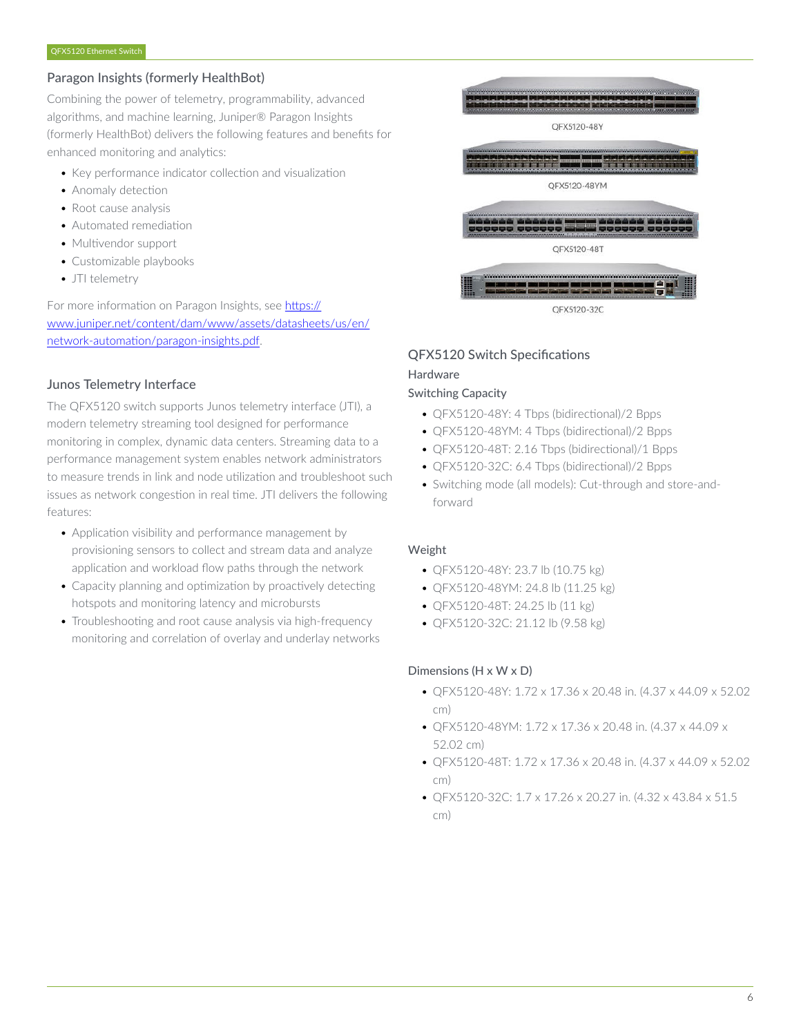# Paragon Insights (formerly HealthBot)

Combining the power of telemetry, programmability, advanced algorithms, and machine learning, Juniper® Paragon Insights (formerly HealthBot) delivers the following features and benefits for enhanced monitoring and analytics:

- Key performance indicator collection and visualization
- Anomaly detection
- Root cause analysis
- Automated remediation
- Multivendor support
- Customizable playbooks
- JTI telemetry

For more information on Paragon Insights, see [https://](https://www.juniper.net/content/dam/www/assets/datasheets/us/en/network-automation/paragon-insights.pdf) [www.juniper.net/content/dam/www/assets/datasheets/us/en/](https://www.juniper.net/content/dam/www/assets/datasheets/us/en/network-automation/paragon-insights.pdf) [network-automation/paragon-insights.pdf.](https://www.juniper.net/content/dam/www/assets/datasheets/us/en/network-automation/paragon-insights.pdf)

# Junos Telemetry Interface

The QFX5120 switch supports Junos telemetry interface (JTI), a modern telemetry streaming tool designed for performance monitoring in complex, dynamic data centers. Streaming data to a performance management system enables network administrators to measure trends in link and node utilization and troubleshoot such issues as network congestion in real time. JTI delivers the following features:

- Application visibility and performance management by provisioning sensors to collect and stream data and analyze application and workload flow paths through the network
- Capacity planning and optimization by proactively detecting hotspots and monitoring latency and microbursts
- Troubleshooting and root cause analysis via high-frequency monitoring and correlation of overlay and underlay networks



# QFX5120 Switch Specifications

#### Hardware

# Switching Capacity

- QFX5120-48Y: 4 Tbps (bidirectional)/2 Bpps
- QFX5120-48YM: 4 Tbps (bidirectional)/2 Bpps
- QFX5120-48T: 2.16 Tbps (bidirectional)/1 Bpps
- QFX5120-32C: 6.4 Tbps (bidirectional)/2 Bpps
- Switching mode (all models): Cut-through and store-andforward

# Weight

- QFX5120-48Y: 23.7 lb (10.75 kg)
- QFX5120-48YM: 24.8 lb (11.25 kg)
- QFX5120-48T: 24.25 lb (11 kg)
- QFX5120-32C: 21.12 lb (9.58 kg)

# Dimensions (H x W x D)

- QFX5120-48Y: 1.72 x 17.36 x 20.48 in. (4.37 x 44.09 x 52.02 cm)
- QFX5120-48YM: 1.72 x 17.36 x 20.48 in. (4.37 x 44.09 x 52.02 cm)
- QFX5120-48T: 1.72 x 17.36 x 20.48 in. (4.37 x 44.09 x 52.02 cm)
- QFX5120-32C: 1.7 x 17.26 x 20.27 in. (4.32 x 43.84 x 51.5 cm)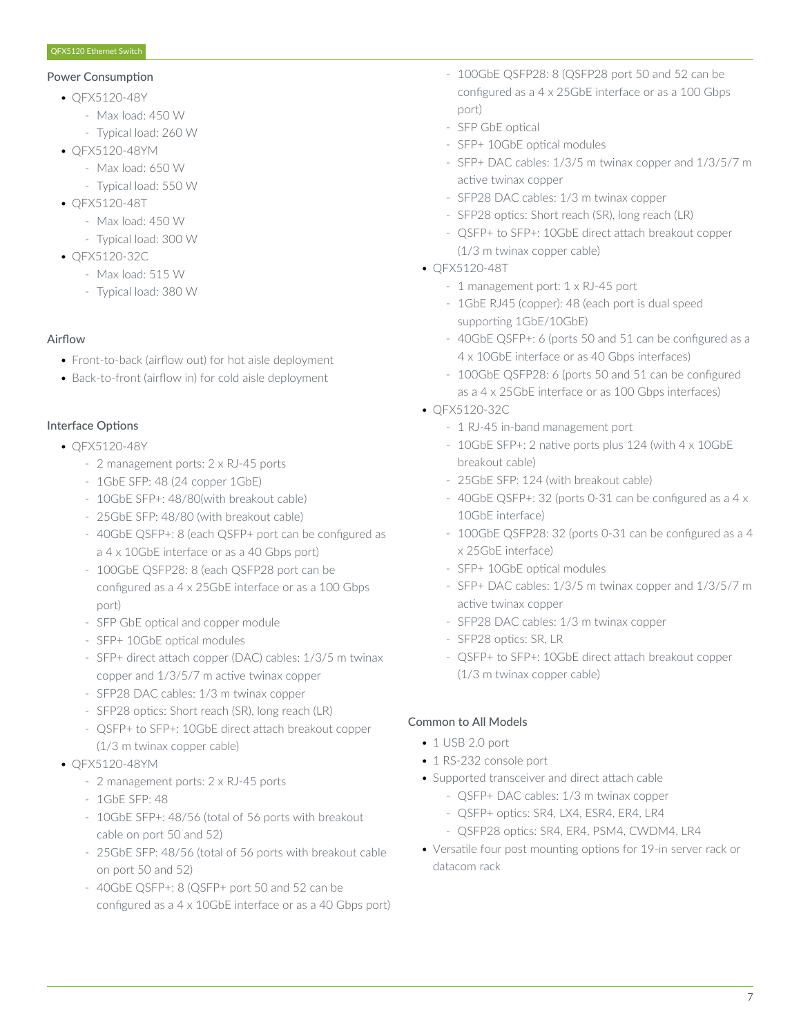#### Power Consumption

- QFX5120-48Y
	- Max load: 450 W
	- Typical load: 260 W
- QFX5120-48YM
	- Max load: 650 W
	- Typical load: 550 W
- QFX5120-48T
	- Max load: 450 W
	- Typical load: 300 W
- QFX5120-32C
	- Max load: 515 W
	- Typical load: 380 W

# Airflow

- Front-to-back (airflow out) for hot aisle deployment
- Back-to-front (airflow in) for cold aisle deployment

# Interface Options

- QFX5120-48Y
	- 2 management ports: 2 x RJ-45 ports
	- 1GbE SFP: 48 (24 copper 1GbE)
	- 10GbE SFP+: 48/80(with breakout cable)
	- 25GbE SFP: 48/80 (with breakout cable)
	- 40GbE QSFP+: 8 (each QSFP+ port can be configured as a 4 x 10GbE interface or as a 40 Gbps port)
	- 100GbE QSFP28: 8 (each QSFP28 port can be configured as a 4 x 25GbE interface or as a 100 Gbps port)
	- SFP GbE optical and copper module
	- SFP+ 10GbE optical modules
	- SFP+ direct attach copper (DAC) cables: 1/3/5 m twinax copper and 1/3/5/7 m active twinax copper
	- SFP28 DAC cables: 1/3 m twinax copper
	- SFP28 optics: Short reach (SR), long reach (LR)
	- QSFP+ to SFP+: 10GbE direct attach breakout copper (1/3 m twinax copper cable)
- QFX5120-48YM
	- 2 management ports: 2 x RJ-45 ports
	- 1GbE SFP: 48
	- 10GbE SFP+: 48/56 (total of 56 ports with breakout cable on port 50 and 52)
	- 25GbE SFP: 48/56 (total of 56 ports with breakout cable on port 50 and 52)
	- 40GbE QSFP+: 8 (QSFP+ port 50 and 52 can be configured as a 4 x 10GbE interface or as a 40 Gbps port)
- 100GbE QSFP28: 8 (QSFP28 port 50 and 52 can be configured as a 4 x 25GbE interface or as a 100 Gbps port)
- SFP GbE optical
- SFP+ 10GbE optical modules
- SFP+ DAC cables: 1/3/5 m twinax copper and 1/3/5/7 m active twinax copper
- SFP28 DAC cables: 1/3 m twinax copper
- SFP28 optics: Short reach (SR), long reach (LR)
- QSFP+ to SFP+: 10GbE direct attach breakout copper (1/3 m twinax copper cable)
- QFX5120-48T
	- 1 management port: 1 x RJ-45 port
	- 1GbE RJ45 (copper): 48 (each port is dual speed supporting 1GbE/10GbE)
	- 40GbE QSFP+: 6 (ports 50 and 51 can be configured as a 4 x 10GbE interface or as 40 Gbps interfaces)
	- 100GbE QSFP28: 6 (ports 50 and 51 can be configured as a 4 x 25GbE interface or as 100 Gbps interfaces)
- QFX5120-32C
	- 1 RJ-45 in-band management port
	- 10GbE SFP+: 2 native ports plus 124 (with 4 x 10GbE breakout cable)
	- 25GbE SFP: 124 (with breakout cable)
	- 40GbE QSFP+: 32 (ports 0-31 can be configured as a 4 x 10GbE interface)
	- 100GbE QSFP28: 32 (ports 0-31 can be configured as a 4 x 25GbE interface)
	- SFP+ 10GbE optical modules
	- SFP+ DAC cables: 1/3/5 m twinax copper and 1/3/5/7 m active twinax copper
	- SFP28 DAC cables: 1/3 m twinax copper
	- SFP28 optics: SR, LR
	- QSFP+ to SFP+: 10GbE direct attach breakout copper (1/3 m twinax copper cable)

# Common to All Models

- 1 USB 2.0 port
- 1 RS-232 console port.
- Supported transceiver and direct attach cable
	- QSFP+ DAC cables: 1/3 m twinax copper
	- QSFP+ optics: SR4, LX4, ESR4, ER4, LR4
	- QSFP28 optics: SR4, ER4, PSM4, CWDM4, LR4
- Versatile four post mounting options for 19-in server rack or datacom rack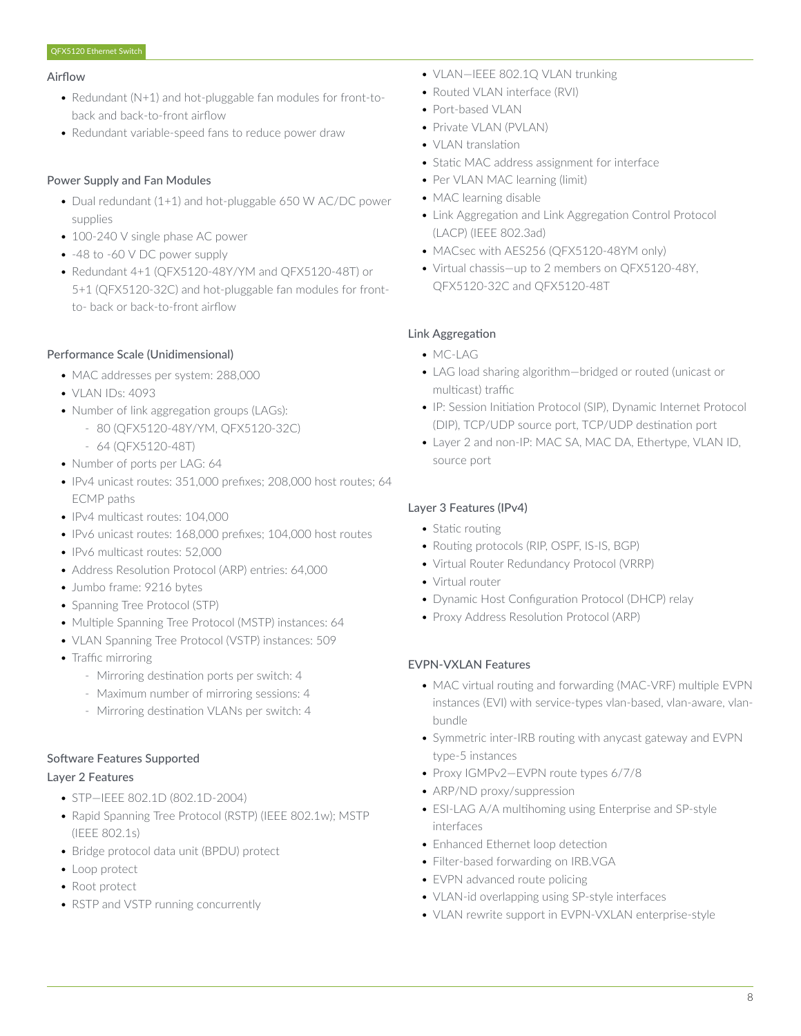#### Airflow

- Redundant (N+1) and hot-pluggable fan modules for front-toback and back-to-front airflow
- Redundant variable-speed fans to reduce power draw

### Power Supply and Fan Modules

- Dual redundant (1+1) and hot-pluggable 650 W AC/DC power supplies
- 100-240 V single phase AC power
- -48 to -60 V DC power supply
- Redundant 4+1 (QFX5120-48Y/YM and QFX5120-48T) or 5+1 (QFX5120-32C) and hot-pluggable fan modules for frontto- back or back-to-front airflow

#### Performance Scale (Unidimensional)

- MAC addresses per system: 288,000
- VLAN IDs: 4093
- Number of link aggregation groups (LAGs):
	- 80 (QFX5120-48Y/YM, QFX5120-32C)
	- 64 (QFX5120-48T)
- Number of ports per LAG: 64
- IPv4 unicast routes: 351,000 prefixes; 208,000 host routes; 64 ECMP paths
- IPv4 multicast routes: 104,000
- IPv6 unicast routes: 168,000 prefixes; 104,000 host routes
- IPv6 multicast routes: 52,000
- Address Resolution Protocol (ARP) entries: 64,000
- Jumbo frame: 9216 bytes
- Spanning Tree Protocol (STP)
- Multiple Spanning Tree Protocol (MSTP) instances: 64
- VLAN Spanning Tree Protocol (VSTP) instances: 509
- Traffic mirroring
	- Mirroring destination ports per switch: 4
	- Maximum number of mirroring sessions: 4
	- Mirroring destination VLANs per switch: 4

#### Software Features Supported

### Layer 2 Features

- STP—IEEE 802.1D (802.1D-2004)
- Rapid Spanning Tree Protocol (RSTP) (IEEE 802.1w); MSTP (IEEE 802.1s)
- Bridge protocol data unit (BPDU) protect
- Loop protect
- Root protect
- RSTP and VSTP running concurrently
- VLAN—IEEE 802.1Q VLAN trunking
- Routed VLAN interface (RVI)
- Port-based VLAN
- Private VLAN (PVLAN)
- VLAN translation
- Static MAC address assignment for interface
- Per VLAN MAC learning (limit)
- MAC learning disable
- Link Aggregation and Link Aggregation Control Protocol (LACP) (IEEE 802.3ad)
- MACsec with AES256 (QFX5120-48YM only)
- Virtual chassis—up to 2 members on QFX5120-48Y, QFX5120-32C and QFX5120-48T

#### Link Aggregation

- MC-LAG
- LAG load sharing algorithm—bridged or routed (unicast or multicast) traffic
- IP: Session Initiation Protocol (SIP), Dynamic Internet Protocol (DIP), TCP/UDP source port, TCP/UDP destination port
- Layer 2 and non-IP: MAC SA, MAC DA, Ethertype, VLAN ID, source port

#### Layer 3 Features (IPv4)

- Static routing
- Routing protocols (RIP, OSPF, IS-IS, BGP)
- Virtual Router Redundancy Protocol (VRRP)
- Virtual router
- Dynamic Host Configuration Protocol (DHCP) relay
- Proxy Address Resolution Protocol (ARP)

#### EVPN-VXLAN Features

- MAC virtual routing and forwarding (MAC-VRF) multiple EVPN instances (EVI) with service-types vlan-based, vlan-aware, vlanbundle
- Symmetric inter-IRB routing with anycast gateway and EVPN type-5 instances
- Proxy IGMPv2—EVPN route types 6/7/8
- ARP/ND proxy/suppression
- ESI-LAG A/A multihoming using Enterprise and SP-style interfaces
- Enhanced Ethernet loop detection
- Filter-based forwarding on IRB.VGA
- EVPN advanced route policing
- VLAN-id overlapping using SP-style interfaces
- VLAN rewrite support in EVPN-VXLAN enterprise-style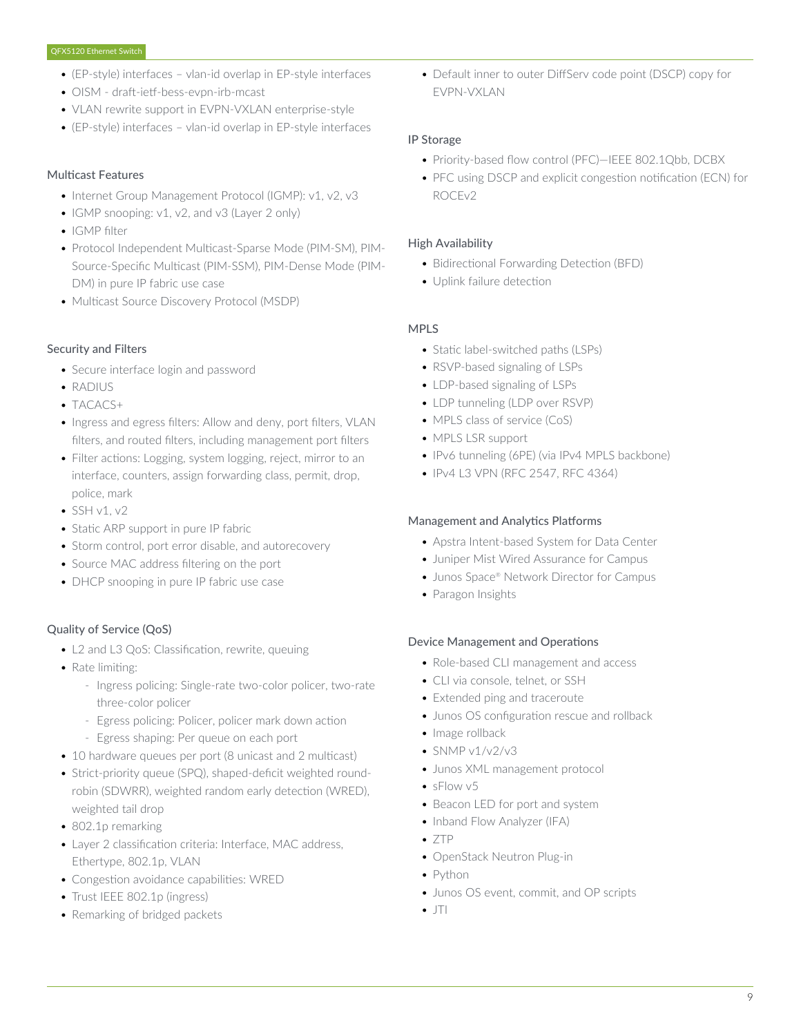- (EP-style) interfaces vlan-id overlap in EP-style interfaces
- OISM draft-ietf-bess-evpn-irb-mcast
- VLAN rewrite support in EVPN-VXLAN enterprise-style
- (EP-style) interfaces vlan-id overlap in EP-style interfaces

# Multicast Features

- Internet Group Management Protocol (IGMP): v1, v2, v3
- IGMP snooping: v1, v2, and v3 (Layer 2 only)
- IGMP filter
- Protocol Independent Multicast-Sparse Mode (PIM-SM), PIM-Source-Specific Multicast (PIM-SSM), PIM-Dense Mode (PIM-DM) in pure IP fabric use case
- Multicast Source Discovery Protocol (MSDP)

#### Security and Filters

- Secure interface login and password
- RADIUS
- TACACS+
- Ingress and egress filters: Allow and deny, port filters, VLAN filters, and routed filters, including management port filters
- Filter actions: Logging, system logging, reject, mirror to an interface, counters, assign forwarding class, permit, drop, police, mark
- $\bullet$  SSH v1, v2
- Static ARP support in pure IP fabric
- Storm control, port error disable, and autorecovery
- Source MAC address filtering on the port
- DHCP snooping in pure IP fabric use case

#### Quality of Service (QoS)

- L2 and L3 QoS: Classification, rewrite, queuing
- Rate limiting:
	- Ingress policing: Single-rate two-color policer, two-rate three-color policer
	- Egress policing: Policer, policer mark down action
	- Egress shaping: Per queue on each port
- 10 hardware queues per port (8 unicast and 2 multicast)
- Strict-priority queue (SPQ), shaped-deficit weighted roundrobin (SDWRR), weighted random early detection (WRED), weighted tail drop
- 802.1p remarking
- Layer 2 classification criteria: Interface, MAC address, Ethertype, 802.1p, VLAN
- Congestion avoidance capabilities: WRED
- Trust IEEE 802.1p (ingress)
- Remarking of bridged packets

• Default inner to outer DiffServ code point (DSCP) copy for EVPN-VXLAN

#### IP Storage

- Priority-based flow control (PFC)—IEEE 802.1Qbb, DCBX
- PFC using DSCP and explicit congestion notification (ECN) for ROCEv2

#### High Availability

- Bidirectional Forwarding Detection (BFD)
- Uplink failure detection

#### MPLS

- Static label-switched paths (LSPs)
- RSVP-based signaling of LSPs
- LDP-based signaling of LSPs
- LDP tunneling (LDP over RSVP)
- MPLS class of service (CoS)
- MPLS LSR support
- IPv6 tunneling (6PE) (via IPv4 MPLS backbone)
- IPv4 L3 VPN (RFC 2547, RFC 4364)

#### Management and Analytics Platforms

- Apstra Intent-based System for Data Center
- Juniper Mist Wired Assurance for Campus
- Junos Space® Network Director for Campus
- Paragon Insights

#### Device Management and Operations

- Role-based CLI management and access
- CLI via console, telnet, or SSH
- Extended ping and traceroute
- Junos OS configuration rescue and rollback
- Image rollback
- $\cdot$  SNMP v1/v2/v3
- Junos XML management protocol
- sFlow v5
- Beacon LED for port and system
- Inband Flow Analyzer (IFA)
- ZTP
- OpenStack Neutron Plug-in
- Python
- Junos OS event, commit, and OP scripts
- $\bullet$  JTI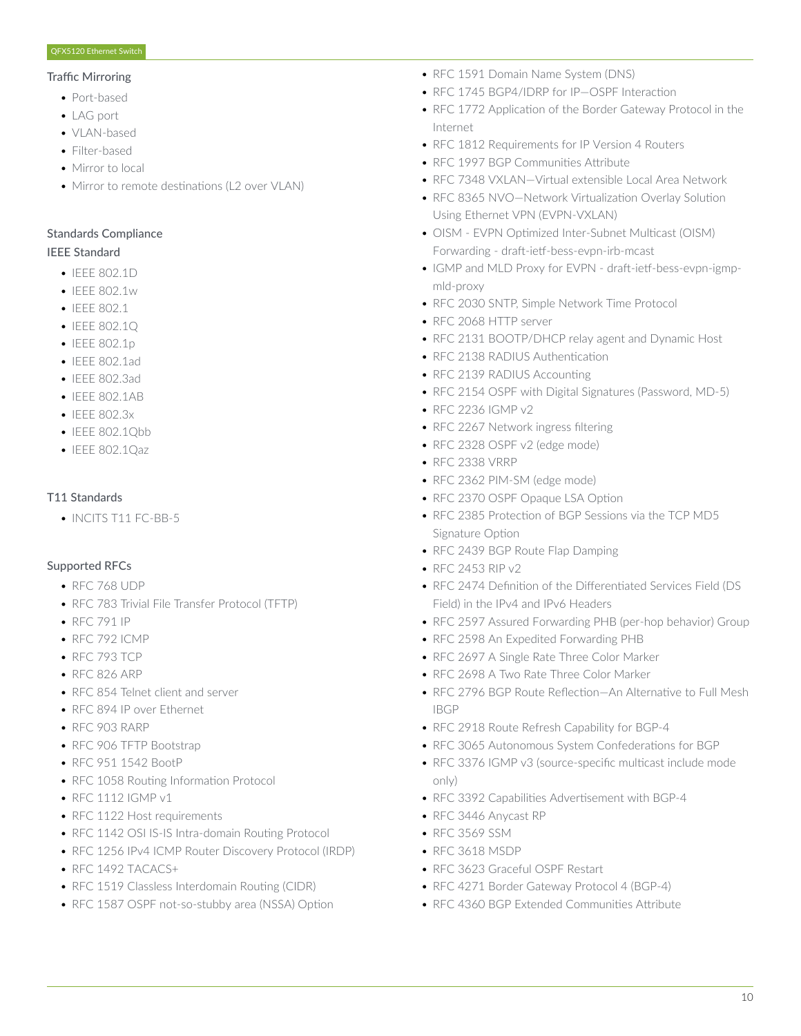#### Traffic Mirroring

- Port-based
- LAG port
- VLAN-based
- Filter-based
- Mirror to local
- Mirror to remote destinations (L2 over VLAN)

#### Standards Compliance

# IEEE Standard

- IEEE 802.1D
- IFFF 802.1w
- IEEE 802.1
- IEEE 802.1Q
- IEEE 802.1p
- IEEE 802.1ad
- IEEE 802.3ad
- IEEE 802.1AB
- IEEE 802.3x
- IEEE 802.1Qbb
- IEEE 802.1Qaz

# T11 Standards

• INCITS T11 FC-BB-5

# Supported RFCs

- RFC 768 UDP
- RFC 783 Trivial File Transfer Protocol (TFTP)
- RFC 791 IP
- RFC 792 ICMP
- RFC 793 TCP
- RFC 826 ARP
- RFC 854 Telnet client and server
- RFC 894 IP over Ethernet
- RFC 903 RARP
- RFC 906 TFTP Bootstrap
- RFC 951 1542 BootP
- RFC 1058 Routing Information Protocol
- RFC 1112 IGMP v1
- RFC 1122 Host requirements
- RFC 1142 OSI IS-IS Intra-domain Routing Protocol
- RFC 1256 IPv4 ICMP Router Discovery Protocol (IRDP)
- RFC 1492 TACACS+
- RFC 1519 Classless Interdomain Routing (CIDR)
- RFC 1587 OSPF not-so-stubby area (NSSA) Option
- RFC 1591 Domain Name System (DNS)
- RFC 1745 BGP4/IDRP for IP—OSPF Interaction
- RFC 1772 Application of the Border Gateway Protocol in the Internet
- RFC 1812 Requirements for IP Version 4 Routers
- RFC 1997 BGP Communities Attribute
- RFC 7348 VXLAN—Virtual extensible Local Area Network
- RFC 8365 NVO—Network Virtualization Overlay Solution Using Ethernet VPN (EVPN-VXLAN)
- OISM EVPN Optimized Inter-Subnet Multicast (OISM) Forwarding - draft-ietf-bess-evpn-irb-mcast
- IGMP and MLD Proxy for EVPN draft-ietf-bess-evpn-igmpmld-proxy
- RFC 2030 SNTP, Simple Network Time Protocol
- RFC 2068 HTTP server
- RFC 2131 BOOTP/DHCP relay agent and Dynamic Host
- RFC 2138 RADIUS Authentication
- RFC 2139 RADIUS Accounting
- RFC 2154 OSPF with Digital Signatures (Password, MD-5)
- RFC 2236 IGMP v2
- RFC 2267 Network ingress filtering
- RFC 2328 OSPF v2 (edge mode)
- RFC 2338 VRRP
- RFC 2362 PIM-SM (edge mode)
- RFC 2370 OSPF Opaque LSA Option
- RFC 2385 Protection of BGP Sessions via the TCP MD5 Signature Option
- RFC 2439 BGP Route Flap Damping
- RFC 2453 RIP v2
- RFC 2474 Definition of the Differentiated Services Field (DS Field) in the IPv4 and IPv6 Headers
- RFC 2597 Assured Forwarding PHB (per-hop behavior) Group
- RFC 2598 An Expedited Forwarding PHB
- RFC 2697 A Single Rate Three Color Marker
- RFC 2698 A Two Rate Three Color Marker
- RFC 2796 BGP Route Reflection—An Alternative to Full Mesh IBGP
- RFC 2918 Route Refresh Capability for BGP-4
- RFC 3065 Autonomous System Confederations for BGP
- RFC 3376 IGMP v3 (source-specific multicast include mode only)
- RFC 3392 Capabilities Advertisement with BGP-4
- RFC 3446 Anycast RP
- RFC 3569 SSM
- RFC 3618 MSDP
- RFC 3623 Graceful OSPF Restart
- RFC 4271 Border Gateway Protocol 4 (BGP-4)
- RFC 4360 BGP Extended Communities Attribute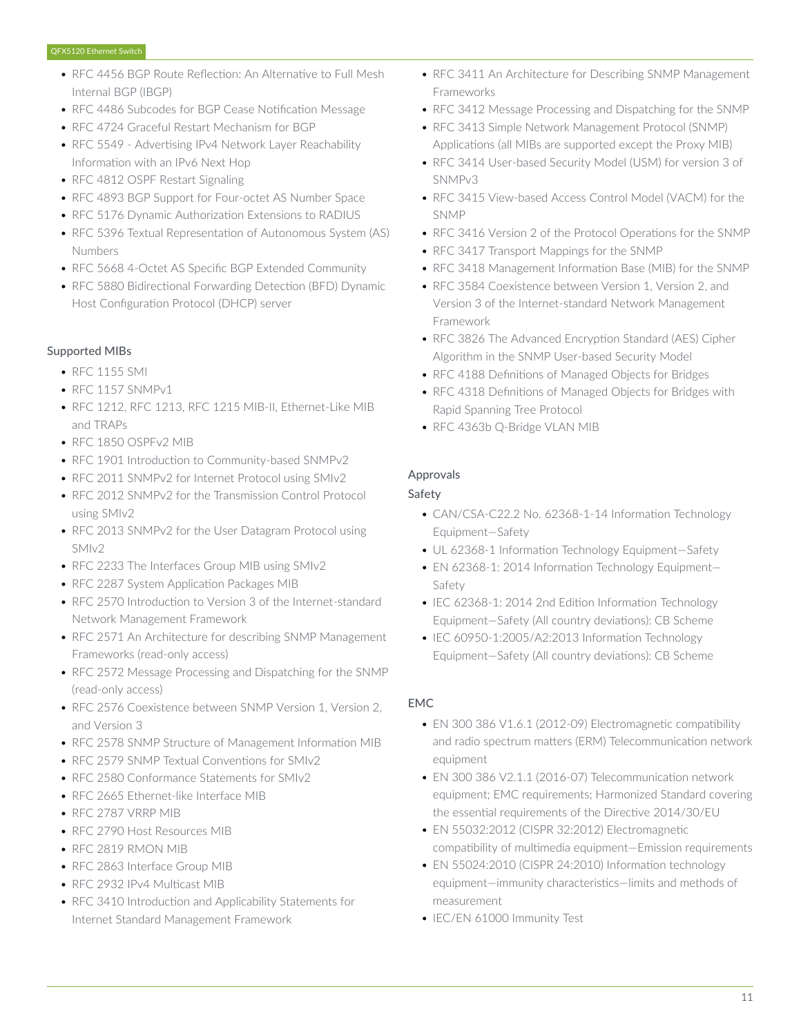- RFC 4456 BGP Route Reflection: An Alternative to Full Mesh Internal BGP (IBGP)
- RFC 4486 Subcodes for BGP Cease Notification Message
- RFC 4724 Graceful Restart Mechanism for BGP
- RFC 5549 Advertising IPv4 Network Layer Reachability Information with an IPv6 Next Hop
- RFC 4812 OSPF Restart Signaling
- RFC 4893 BGP Support for Four-octet AS Number Space
- RFC 5176 Dynamic Authorization Extensions to RADIUS
- RFC 5396 Textual Representation of Autonomous System (AS) Numbers
- RFC 5668 4-Octet AS Specific BGP Extended Community
- RFC 5880 Bidirectional Forwarding Detection (BFD) Dynamic Host Configuration Protocol (DHCP) server

# Supported MIBs

- RFC 1155 SMI
- RFC 1157 SNMPv1
- RFC 1212, RFC 1213, RFC 1215 MIB-II, Ethernet-Like MIB and TRAPs
- RFC 1850 OSPFv2 MIB
- RFC 1901 Introduction to Community-based SNMPv2
- RFC 2011 SNMPv2 for Internet Protocol using SMIv2
- RFC 2012 SNMPv2 for the Transmission Control Protocol using SMIv2
- RFC 2013 SNMPv2 for the User Datagram Protocol using SMIv2
- RFC 2233 The Interfaces Group MIB using SMIv2
- RFC 2287 System Application Packages MIB
- RFC 2570 Introduction to Version 3 of the Internet-standard Network Management Framework
- RFC 2571 An Architecture for describing SNMP Management Frameworks (read-only access)
- RFC 2572 Message Processing and Dispatching for the SNMP (read-only access)
- RFC 2576 Coexistence between SNMP Version 1, Version 2, and Version 3
- RFC 2578 SNMP Structure of Management Information MIB
- RFC 2579 SNMP Textual Conventions for SMIv2
- RFC 2580 Conformance Statements for SMIv2
- RFC 2665 Ethernet-like Interface MIB
- RFC 2787 VRRP MIB
- RFC 2790 Host Resources MIB
- RFC 2819 RMON MIB
- RFC 2863 Interface Group MIB
- RFC 2932 IPv4 Multicast MIB
- RFC 3410 Introduction and Applicability Statements for Internet Standard Management Framework
- RFC 3411 An Architecture for Describing SNMP Management Frameworks
- RFC 3412 Message Processing and Dispatching for the SNMP
- RFC 3413 Simple Network Management Protocol (SNMP) Applications (all MIBs are supported except the Proxy MIB)
- RFC 3414 User-based Security Model (USM) for version 3 of SNMPv3
- RFC 3415 View-based Access Control Model (VACM) for the SNMP
- RFC 3416 Version 2 of the Protocol Operations for the SNMP
- RFC 3417 Transport Mappings for the SNMP
- RFC 3418 Management Information Base (MIB) for the SNMP
- RFC 3584 Coexistence between Version 1, Version 2, and Version 3 of the Internet-standard Network Management Framework
- RFC 3826 The Advanced Encryption Standard (AES) Cipher Algorithm in the SNMP User-based Security Model
- RFC 4188 Definitions of Managed Objects for Bridges
- RFC 4318 Definitions of Managed Objects for Bridges with Rapid Spanning Tree Protocol
- RFC 4363b Q-Bridge VLAN MIB

# Approvals

# Safety

- CAN/CSA-C22.2 No. 62368-1-14 Information Technology Equipment—Safety
- UL 62368-1 Information Technology Equipment—Safety
- EN 62368-1: 2014 Information Technology Equipment— Safety
- IEC 62368-1: 2014 2nd Edition Information Technology Equipment—Safety (All country deviations): CB Scheme
- IEC 60950-1:2005/A2:2013 Information Technology Equipment—Safety (All country deviations): CB Scheme

# EMC

- EN 300 386 V1.6.1 (2012-09) Electromagnetic compatibility and radio spectrum matters (ERM) Telecommunication network equipment
- EN 300 386 V2.1.1 (2016-07) Telecommunication network equipment; EMC requirements; Harmonized Standard covering the essential requirements of the Directive 2014/30/EU
- EN 55032:2012 (CISPR 32:2012) Electromagnetic compatibility of multimedia equipment—Emission requirements
- EN 55024:2010 (CISPR 24:2010) Information technology equipment—immunity characteristics—limits and methods of measurement
- IEC/EN 61000 Immunity Test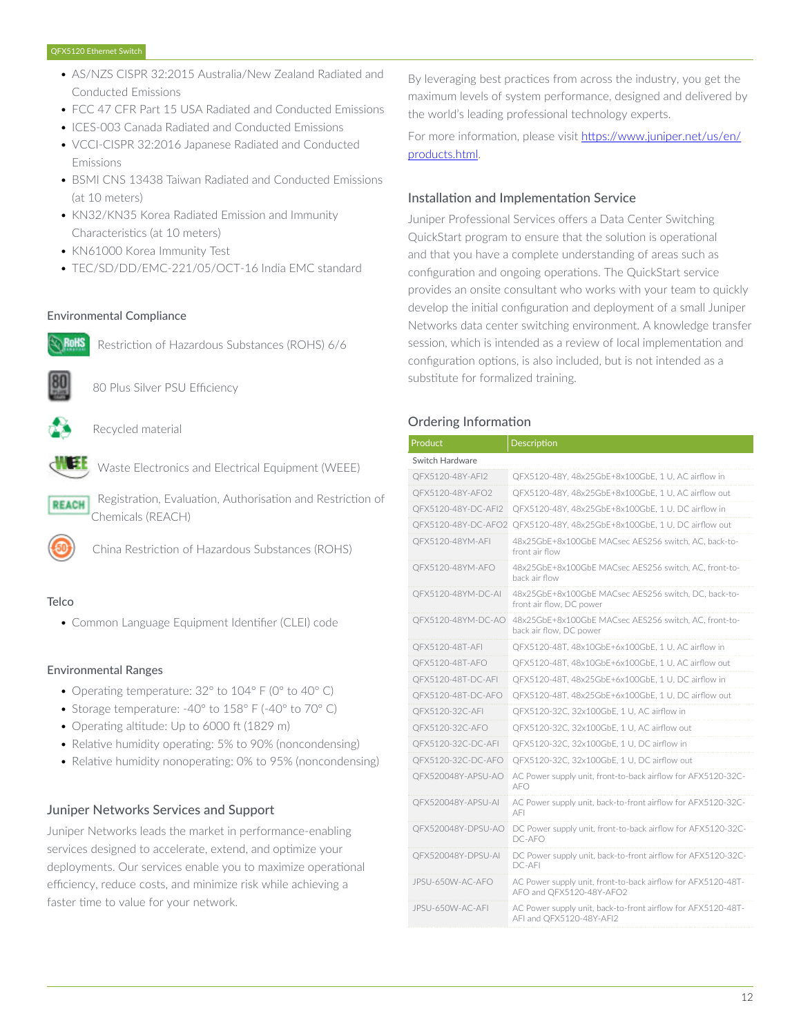- AS/NZS CISPR 32:2015 Australia/New Zealand Radiated and Conducted Emissions
- FCC 47 CFR Part 15 USA Radiated and Conducted Emissions
- ICES-003 Canada Radiated and Conducted Emissions
- VCCI-CISPR 32:2016 Japanese Radiated and Conducted Emissions
- BSMI CNS 13438 Taiwan Radiated and Conducted Emissions (at 10 meters)
- KN32/KN35 Korea Radiated Emission and Immunity Characteristics (at 10 meters)
- KN61000 Korea Immunity Test
- TEC/SD/DD/EMC-221/05/OCT-16 India EMC standard

# Environmental Compliance



Restriction of Hazardous Substances (ROHS) 6/6



80 Plus Silver PSU Efficiency

Recycled material



Waste Electronics and Electrical Equipment (WEEE)

 Registration, Evaluation, Authorisation and Restriction of **REACH** Chemicals (REACH)



China Restriction of Hazardous Substances (ROHS)

# **Telco**

• Common Language Equipment Identifier (CLEI) code

#### Environmental Ranges

- Operating temperature: 32° to 104° F (0° to 40° C)
- Storage temperature: -40° to 158° F (-40° to 70° C)
- Operating altitude: Up to 6000 ft (1829 m)
- Relative humidity operating: 5% to 90% (noncondensing)
- Relative humidity nonoperating: 0% to 95% (noncondensing)

# Juniper Networks Services and Support

Juniper Networks leads the market in performance-enabling services designed to accelerate, extend, and optimize your deployments. Our services enable you to maximize operational efficiency, reduce costs, and minimize risk while achieving a faster time to value for your network.

By leveraging best practices from across the industry, you get the maximum levels of system performance, designed and delivered by the world's leading professional technology experts.

For more information, please visit [https://www.juniper.net/us/en/](https://www.juniper.net/us/en/products.html) [products.html.](https://www.juniper.net/us/en/products.html)

# Installation and Implementation Service

Juniper Professional Services offers a Data Center Switching QuickStart program to ensure that the solution is operational and that you have a complete understanding of areas such as configuration and ongoing operations. The QuickStart service provides an onsite consultant who works with your team to quickly develop the initial configuration and deployment of a small Juniper Networks data center switching environment. A knowledge transfer session, which is intended as a review of local implementation and configuration options, is also included, but is not intended as a substitute for formalized training.

# Ordering Information

| Product             | Description                                                                              |  |  |  |  |
|---------------------|------------------------------------------------------------------------------------------|--|--|--|--|
| Switch Hardware     |                                                                                          |  |  |  |  |
| OFX5120-48Y-AFI2    | OFX5120-48Y, 48x25GbE+8x100GbE, 1 U, AC airflow in                                       |  |  |  |  |
| QFX5120-48Y-AFO2    | QFX5120-48Y, 48x25GbE+8x100GbE, 1 U, AC airflow out                                      |  |  |  |  |
| QFX5120-48Y-DC-AFI2 | QFX5120-48Y, 48x25GbE+8x100GbE, 1 U, DC airflow in                                       |  |  |  |  |
| OFX5120-48Y-DC-AFO2 | QFX5120-48Y, 48x25GbE+8x100GbE, 1 U, DC airflow out                                      |  |  |  |  |
| QFX5120-48YM-AFI    | 48x25GbE+8x100GbE MACsec AES256 switch, AC, back-to-<br>front air flow                   |  |  |  |  |
| QFX5120-48YM-AFO    | 48x25GbE+8x100GbE MACsec AES256 switch, AC, front-to-<br>back air flow                   |  |  |  |  |
| QFX5120-48YM-DC-AI  | 48x25GbE+8x100GbE MACsec AES256 switch. DC. back-to-<br>front air flow, DC power         |  |  |  |  |
| QFX5120-48YM-DC-AO  | 48x25GbE+8x100GbE MACsec AES256 switch, AC, front-to-<br>back air flow, DC power         |  |  |  |  |
| QFX5120-48T-AFI     | QFX5120-48T, 48x10GbE+6x100GbE, 1 U, AC airflow in                                       |  |  |  |  |
| OFX5120-48T-AFO     | QFX5120-48T, 48x10GbE+6x100GbE, 1 U, AC airflow out                                      |  |  |  |  |
| QFX5120-48T-DC-AFI  | QFX5120-48T, 48x25GbE+6x100GbE, 1 U, DC airflow in                                       |  |  |  |  |
| QFX5120-48T-DC-AFO  | QFX5120-48T, 48x25GbE+6x100GbE, 1 U, DC airflow out                                      |  |  |  |  |
| QFX5120-32C-AFI     | QFX5120-32C, 32x100GbE, 1 U, AC airflow in                                               |  |  |  |  |
| QFX5120-32C-AFO     | QFX5120-32C, 32x100GbE, 1 U, AC airflow out                                              |  |  |  |  |
| QFX5120-32C-DC-AFI  | QFX5120-32C, 32x100GbE, 1 U, DC airflow in                                               |  |  |  |  |
| QFX5120-32C-DC-AFO  | QFX5120-32C, 32x100GbE, 1 U, DC airflow out                                              |  |  |  |  |
| QFX520048Y-APSU-AO  | AC Power supply unit, front-to-back airflow for AFX5120-32C-<br>AFO                      |  |  |  |  |
| QFX520048Y-APSU-AI  | AC Power supply unit, back-to-front airflow for AFX5120-32C-<br>AFI                      |  |  |  |  |
| QFX520048Y-DPSU-AO  | DC Power supply unit, front-to-back airflow for AFX5120-32C-<br>DC-AFO                   |  |  |  |  |
| QFX520048Y-DPSU-AI  | DC Power supply unit, back-to-front airflow for AFX5120-32C-<br>DC-AFI                   |  |  |  |  |
| JPSU-650W-AC-AFO    | AC Power supply unit, front-to-back airflow for AFX5120-48T-<br>AFO and QFX5120-48Y-AFO2 |  |  |  |  |
| JPSU-650W-AC-AFI    | AC Power supply unit, back-to-front airflow for AFX5120-48T-<br>AFI and QFX5120-48Y-AFI2 |  |  |  |  |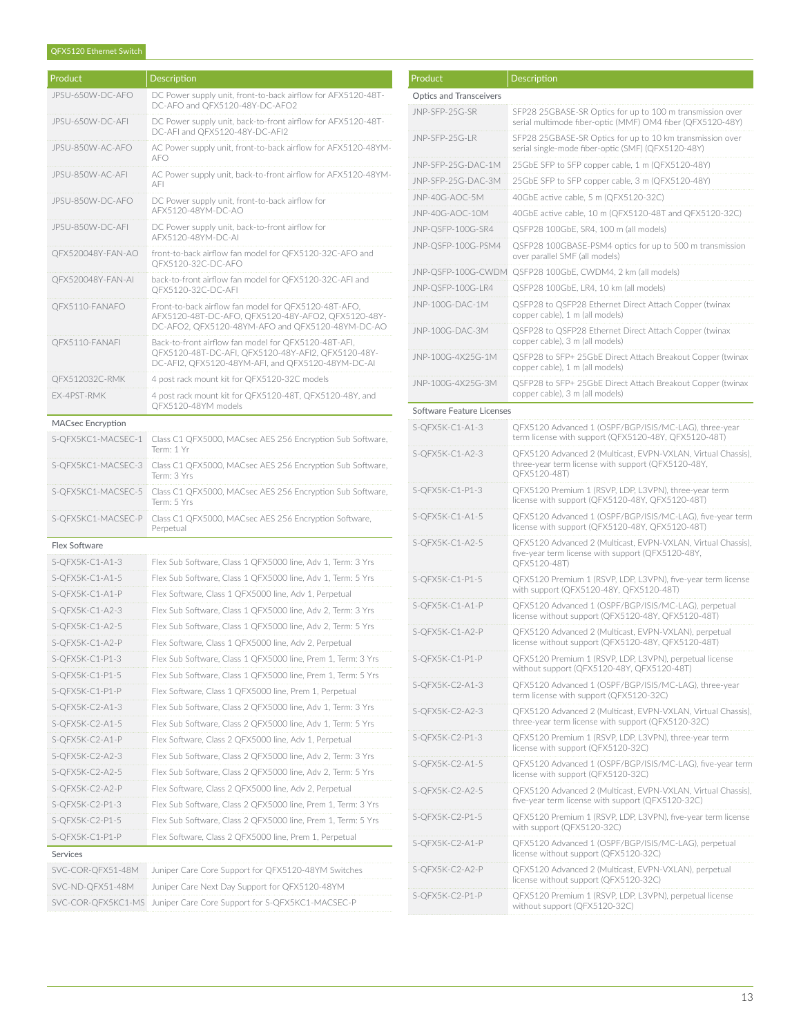#### QFX5120 Ethernet Switch

| Product,         | Description                            |
|------------------|----------------------------------------|
| JPSU-650W-DC-AFO | DC Power supply ur<br>DC-AFO and QFX51 |
| JPSU-650W-DC-AFI | DC Power supply ur                     |

| JPSU-650W-DC-AFO                       | DC Power supply unit, front-to-back airflow for AFX5120-48T-<br>DC-AFO and QFX5120-48Y-DC-AFO2                                                                  |  |  |
|----------------------------------------|-----------------------------------------------------------------------------------------------------------------------------------------------------------------|--|--|
| JPSU-650W-DC-AFI                       | DC Power supply unit, back-to-front airflow for AFX5120-48T-<br>DC-AFI and OFX5120-48Y-DC-AFI2                                                                  |  |  |
| JPSU-850W-AC-AFO                       | AC Power supply unit, front-to-back airflow for AFX5120-48YM-<br>AFO                                                                                            |  |  |
| JPSU-850W-AC-AFI                       | AC Power supply unit, back-to-front airflow for AFX5120-48YM-<br>AFI                                                                                            |  |  |
| JPSU-850W-DC-AFO                       | DC Power supply unit, front-to-back airflow for<br>AFX5120-48YM-DC-AO                                                                                           |  |  |
| JPSU-850W-DC-AFI                       | DC Power supply unit, back-to-front airflow for<br>AFX5120-48YM-DC-AI                                                                                           |  |  |
| QFX520048Y-FAN-AO                      | front-to-back airflow fan model for QFX5120-32C-AFO and<br>QFX5120-32C-DC-AFO                                                                                   |  |  |
| QFX520048Y-FAN-AI                      | back-to-front airflow fan model for QFX5120-32C-AFI and<br>QFX5120-32C-DC-AFI                                                                                   |  |  |
| QFX5110-FANAFO                         | Front-to-back airflow fan model for QFX5120-48T-AFO,<br>AFX5120-48T-DC-AFO, QFX5120-48Y-AFO2, QFX5120-48Y-<br>DC-AFO2, QFX5120-48YM-AFO and QFX5120-48YM-DC-AO  |  |  |
| QFX5110-FANAFI                         | Back-to-front airflow fan model for QFX5120-48T-AFI,<br>QFX5120-48T-DC-AFI, QFX5120-48Y-AFI2, QFX5120-48Y-<br>DC-AFI2, QFX5120-48YM-AFI, and QFX5120-48YM-DC-AI |  |  |
| QFX512032C-RMK                         | 4 post rack mount kit for QFX5120-32C models                                                                                                                    |  |  |
| EX-4PST-RMK                            | 4 post rack mount kit for QFX5120-48T, QFX5120-48Y, and<br>OFX5120-48YM models                                                                                  |  |  |
| <b>MACsec Encryption</b>               |                                                                                                                                                                 |  |  |
| S-OFX5KC1-MACSEC-1                     | Class C1 QFX5000, MACsec AES 256 Encryption Sub Software,<br>Term: 1 Yr                                                                                         |  |  |
| S-QFX5KC1-MACSEC-3                     | Class C1 QFX5000, MACsec AES 256 Encryption Sub Software,<br>Term: 3 Yrs                                                                                        |  |  |
| S-QFX5KC1-MACSEC-5                     | Class C1 QFX5000, MACsec AES 256 Encryption Sub Software,<br>Term: 5 Yrs                                                                                        |  |  |
|                                        |                                                                                                                                                                 |  |  |
| S-QFX5KC1-MACSEC-P                     | Class C1 QFX5000, MACsec AES 256 Encryption Software,<br>Perpetual                                                                                              |  |  |
| <b>Flex Software</b>                   |                                                                                                                                                                 |  |  |
| S-QFX5K-C1-A1-3                        | Flex Sub Software, Class 1 QFX5000 line, Adv 1, Term: 3 Yrs                                                                                                     |  |  |
| S-QFX5K-C1-A1-5                        | Flex Sub Software, Class 1 QFX5000 line, Adv 1, Term: 5 Yrs                                                                                                     |  |  |
| S-QFX5K-C1-A1-P                        | Flex Software, Class 1 QFX5000 line, Adv 1, Perpetual                                                                                                           |  |  |
| S-QFX5K-C1-A2-3                        | Flex Sub Software, Class 1 QFX5000 line, Adv 2, Term: 3 Yrs                                                                                                     |  |  |
| S-QFX5K-C1-A2-5                        | Flex Sub Software, Class 1 QFX5000 line, Adv 2, Term: 5 Yrs                                                                                                     |  |  |
| S-QFX5K-C1-A2-P                        | Flex Software, Class 1 QFX5000 line, Adv 2, Perpetual                                                                                                           |  |  |
| S-QFX5K-C1-P1-3                        | Flex Sub Software, Class 1 QFX5000 line, Prem 1, Term: 3 Yrs                                                                                                    |  |  |
| S-QFX5K-C1-P1-5                        | Flex Sub Software, Class 1 QFX5000 line, Prem 1, Term: 5 Yrs                                                                                                    |  |  |
| S-QFX5K-C1-P1-P                        | Flex Software, Class 1 QFX5000 line, Prem 1, Perpetual                                                                                                          |  |  |
| S-QFX5K-C2-A1-3                        | Flex Sub Software, Class 2 QFX5000 line, Adv 1, Term: 3 Yrs                                                                                                     |  |  |
| S-QFX5K-C2-A1-5                        | Flex Sub Software, Class 2 QFX5000 line, Adv 1, Term: 5 Yrs                                                                                                     |  |  |
| S-QFX5K-C2-A1-P                        | Flex Software, Class 2 QFX5000 line, Adv 1, Perpetual                                                                                                           |  |  |
| S-QFX5K-C2-A2-3                        | Flex Sub Software, Class 2 QFX5000 line, Adv 2, Term: 3 Yrs                                                                                                     |  |  |
| S-QFX5K-C2-A2-5                        | Flex Sub Software, Class 2 QFX5000 line, Adv 2, Term: 5 Yrs                                                                                                     |  |  |
| S-QFX5K-C2-A2-P                        |                                                                                                                                                                 |  |  |
|                                        | Flex Software, Class 2 QFX5000 line, Adv 2, Perpetual                                                                                                           |  |  |
| S-QFX5K-C2-P1-3                        | Flex Sub Software, Class 2 QFX5000 line, Prem 1, Term: 3 Yrs                                                                                                    |  |  |
| S-QFX5K-C2-P1-5<br>S-QFX5K-C1-P1-P     | Flex Sub Software, Class 2 QFX5000 line, Prem 1, Term: 5 Yrs<br>Flex Software, Class 2 QFX5000 line, Prem 1, Perpetual                                          |  |  |
| Services                               |                                                                                                                                                                 |  |  |
|                                        |                                                                                                                                                                 |  |  |
| SVC-COR-QFX51-48M                      | Juniper Care Core Support for QFX5120-48YM Switches                                                                                                             |  |  |
| SVC-ND-QFX51-48M<br>SVC-COR-QFX5KC1-MS | Juniper Care Next Day Support for QFX5120-48YM<br>Juniper Care Core Support for S-QFX5KC1-MACSEC-P                                                              |  |  |

| Product                        | Description                                                                                                                        |  |  |  |
|--------------------------------|------------------------------------------------------------------------------------------------------------------------------------|--|--|--|
| <b>Optics and Transceivers</b> |                                                                                                                                    |  |  |  |
| JNP-SFP-25G-SR                 | SFP28 25GBASE-SR Optics for up to 100 m transmission over<br>serial multimode fiber-optic (MMF) OM4 fiber (QFX5120-48Y)            |  |  |  |
| JNP-SFP-25G-LR                 | SFP28 25GBASE-SR Optics for up to 10 km transmission over<br>serial single-mode fiber-optic (SMF) (QFX5120-48Y)                    |  |  |  |
| JNP-SFP-25G-DAC-1M             | 25GbE SFP to SFP copper cable, 1 m (QFX5120-48Y)                                                                                   |  |  |  |
| JNP-SFP-25G-DAC-3M             | 25GbE SFP to SFP copper cable, 3 m (QFX5120-48Y)                                                                                   |  |  |  |
| JNP-40G-AOC-5M                 | 40GbE active cable, 5 m (QFX5120-32C)                                                                                              |  |  |  |
| JNP-40G-AOC-10M                | 40GbE active cable, 10 m (QFX5120-48T and QFX5120-32C)                                                                             |  |  |  |
| JNP-QSFP-100G-SR4              | QSFP28 100GbE, SR4, 100 m (all models)                                                                                             |  |  |  |
| JNP-QSFP-100G-PSM4             | QSFP28 100GBASE-PSM4 optics for up to 500 m transmission<br>over parallel SMF (all models)                                         |  |  |  |
| JNP-QSFP-100G-CWDM             | QSFP28 100GbE, CWDM4, 2 km (all models)                                                                                            |  |  |  |
| JNP-QSFP-100G-LR4              | QSFP28 100GbE, LR4, 10 km (all models)                                                                                             |  |  |  |
| JNP-100G-DAC-1M                | QSFP28 to QSFP28 Ethernet Direct Attach Copper (twinax<br>copper cable), 1 m (all models)                                          |  |  |  |
| JNP-100G-DAC-3M                | QSFP28 to QSFP28 Ethernet Direct Attach Copper (twinax<br>copper cable), 3 m (all models)                                          |  |  |  |
| JNP-100G-4X25G-1M              | QSFP28 to SFP+ 25GbE Direct Attach Breakout Copper (twinax<br>copper cable), 1 m (all models)                                      |  |  |  |
| JNP-100G-4X25G-3M              | QSFP28 to SFP+ 25GbE Direct Attach Breakout Copper (twinax<br>copper cable), 3 m (all models)                                      |  |  |  |
| Software Feature Licenses      |                                                                                                                                    |  |  |  |
| S-QFX5K-C1-A1-3                | QFX5120 Advanced 1 (OSPF/BGP/ISIS/MC-LAG), three-year<br>term license with support (QFX5120-48Y, QFX5120-48T)                      |  |  |  |
| S-QFX5K-C1-A2-3                | QFX5120 Advanced 2 (Multicast, EVPN-VXLAN, Virtual Chassis),<br>three-year term license with support (QFX5120-48Y,<br>QFX5120-48T) |  |  |  |
| S-QFX5K-C1-P1-3                | QFX5120 Premium 1 (RSVP, LDP, L3VPN), three-year term<br>license with support (QFX5120-48Y, QFX5120-48T)                           |  |  |  |
| S-QFX5K-C1-A1-5                | QFX5120 Advanced 1 (OSPF/BGP/ISIS/MC-LAG), five-year term<br>license with support (QFX5120-48Y, QFX5120-48T)                       |  |  |  |
| S-QFX5K-C1-A2-5                | QFX5120 Advanced 2 (Multicast, EVPN-VXLAN, Virtual Chassis),<br>five-year term license with support (QFX5120-48Y,<br>QFX5120-48T)  |  |  |  |
| S-QFX5K-C1-P1-5                | QFX5120 Premium 1 (RSVP, LDP, L3VPN), five-year term license<br>with support (QFX5120-48Y, QFX5120-48T)                            |  |  |  |
| S-QFX5K-C1-A1-P                | QFX5120 Advanced 1 (OSPF/BGP/ISIS/MC-LAG), perpetual<br>license without support (QFX5120-48Y, QFX5120-48T)                         |  |  |  |
| S-QFX5K-C1-A2-P                | QFX5120 Advanced 2 (Multicast, EVPN-VXLAN), perpetual<br>license without support (QFX5120-48Y, QFX5120-48T)                        |  |  |  |
| S-QFX5K-C1-P1-P                | QFX5120 Premium 1 (RSVP, LDP, L3VPN), perpetual license<br>without support (QFX5120-48Y, QFX5120-48T)                              |  |  |  |
| S-QFX5K-C2-A1-3                | QFX5120 Advanced 1 (OSPF/BGP/ISIS/MC-LAG), three-year<br>term license with support (QFX5120-32C)                                   |  |  |  |
| S-QFX5K-C2-A2-3                | QFX5120 Advanced 2 (Multicast, EVPN-VXLAN, Virtual Chassis),<br>three-year term license with support (QFX5120-32C)                 |  |  |  |
| S-QFX5K-C2-P1-3                | QFX5120 Premium 1 (RSVP, LDP, L3VPN), three-year term<br>license with support (QFX5120-32C)                                        |  |  |  |
| S-QFX5K-C2-A1-5                | QFX5120 Advanced 1 (OSPF/BGP/ISIS/MC-LAG), five-year term<br>license with support (QFX5120-32C)                                    |  |  |  |
| S-QFX5K-C2-A2-5                | QFX5120 Advanced 2 (Multicast, EVPN-VXLAN, Virtual Chassis),<br>five-year term license with support (QFX5120-32C)                  |  |  |  |
| S-QFX5K-C2-P1-5                | QFX5120 Premium 1 (RSVP, LDP, L3VPN), five-year term license<br>with support (QFX5120-32C)                                         |  |  |  |
| S-QFX5K-C2-A1-P                | QFX5120 Advanced 1 (OSPF/BGP/ISIS/MC-LAG), perpetual<br>license without support (QFX5120-32C)                                      |  |  |  |
| S-QFX5K-C2-A2-P                | QFX5120 Advanced 2 (Multicast, EVPN-VXLAN), perpetual<br>license without support (QFX5120-32C)                                     |  |  |  |
| S-QFX5K-C2-P1-P                | QFX5120 Premium 1 (RSVP, LDP, L3VPN), perpetual license<br>without support (QFX5120-32C)                                           |  |  |  |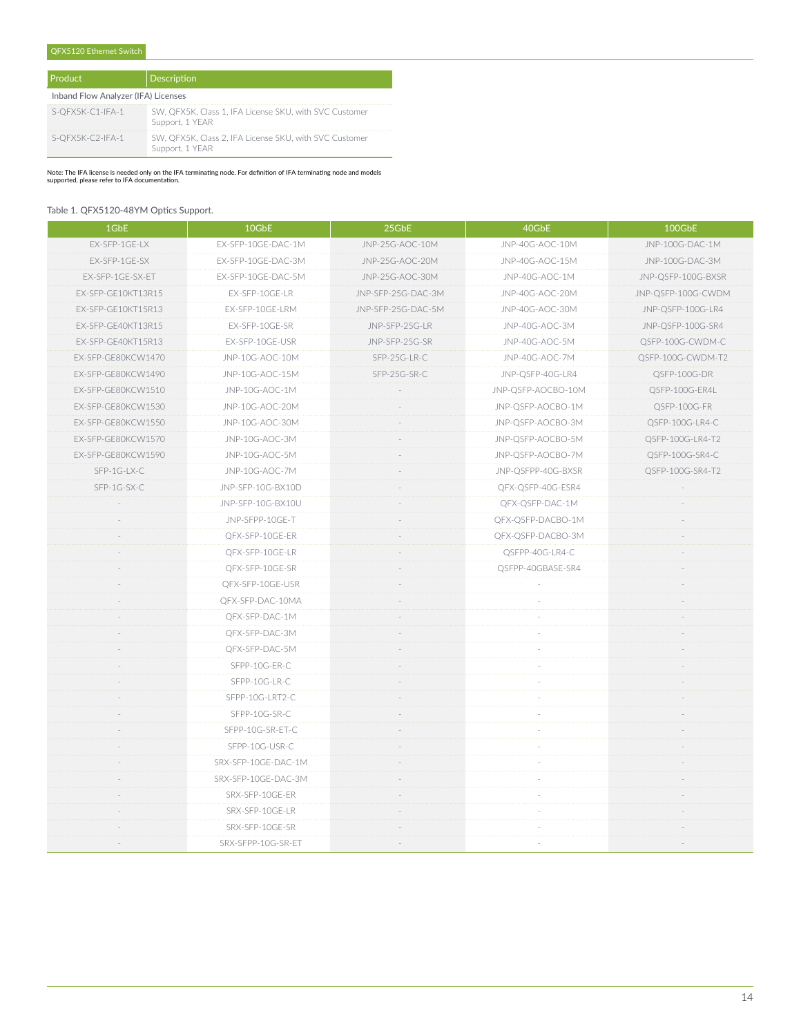#### QFX5120 Ethernet Switch

| Product                             | Description                                                               |  |  |
|-------------------------------------|---------------------------------------------------------------------------|--|--|
| Inband Flow Analyzer (IFA) Licenses |                                                                           |  |  |
| S-QFX5K-C1-IFA-1                    | SW, QFX5K, Class 1, IFA License SKU, with SVC Customer<br>Support, 1 YEAR |  |  |
| S-OFX5K-C2-IFA-1                    | SW, QFX5K, Class 2, IFA License SKU, with SVC Customer<br>Support, 1 YEAR |  |  |

Note: The IFA license is needed only on the IFA terminating node. For definition of IFA terminating node and models supported, please refer to IFA documentation.

#### Table 1. QFX5120-48YM Optics Support.

| 1GbE               | 10GbE               | 25GbE              | 40GbE              | 100GbE             |
|--------------------|---------------------|--------------------|--------------------|--------------------|
| EX-SFP-1GE-LX      | EX-SFP-10GE-DAC-1M  | JNP-25G-AOC-10M    | JNP-40G-AOC-10M    | JNP-100G-DAC-1M    |
| EX-SFP-1GE-SX      | EX-SFP-10GE-DAC-3M  | JNP-25G-AOC-20M    | JNP-40G-AOC-15M    | JNP-100G-DAC-3M    |
| EX-SFP-1GE-SX-ET   | EX-SFP-10GE-DAC-5M  | JNP-25G-AOC-30M    | JNP-40G-AOC-1M     | JNP-QSFP-100G-BXSR |
| EX-SFP-GE10KT13R15 | EX-SFP-10GE-LR      | JNP-SFP-25G-DAC-3M | JNP-40G-AOC-20M    | JNP-QSFP-100G-CWDM |
| EX-SFP-GE10KT15R13 | EX-SFP-10GE-LRM     | JNP-SFP-25G-DAC-5M | JNP-40G-AOC-30M    | JNP-QSFP-100G-LR4  |
| EX-SFP-GE40KT13R15 | EX-SFP-10GE-SR      | JNP-SFP-25G-LR     | JNP-40G-AOC-3M     | JNP-QSFP-100G-SR4  |
| EX-SFP-GE40KT15R13 | EX-SFP-10GE-USR     | JNP-SFP-25G-SR     | JNP-40G-AOC-5M     | QSFP-100G-CWDM-C   |
| EX-SFP-GE80KCW1470 | JNP-10G-AOC-10M     | SFP-25G-LR-C       | JNP-40G-AOC-7M     | QSFP-100G-CWDM-T2  |
| EX-SFP-GE80KCW1490 | JNP-10G-AOC-15M     | SFP-25G-SR-C       | JNP-QSFP-40G-LR4   | QSFP-100G-DR       |
| EX-SFP-GE80KCW1510 | JNP-10G-AOC-1M      |                    | JNP-QSFP-AOCBO-10M | QSFP-100G-ER4L     |
| EX-SFP-GE80KCW1530 | JNP-10G-AOC-20M     |                    | JNP-QSFP-AOCBO-1M  | QSFP-100G-FR       |
| EX-SFP-GE80KCW1550 | JNP-10G-AOC-30M     |                    | JNP-QSFP-AOCBO-3M  | QSFP-100G-LR4-C    |
| EX-SFP-GE80KCW1570 | JNP-10G-AOC-3M      |                    | JNP-QSFP-AOCBO-5M  | QSFP-100G-LR4-T2   |
| EX-SFP-GE80KCW1590 | JNP-10G-AOC-5M      |                    | JNP-QSFP-AOCBO-7M  | QSFP-100G-SR4-C    |
| SFP-1G-LX-C        | JNP-10G-AOC-7M      | ×.                 | JNP-QSFPP-40G-BXSR | QSFP-100G-SR4-T2   |
| SFP-1G-SX-C        | JNP-SFP-10G-BX10D   |                    | QFX-QSFP-40G-ESR4  |                    |
|                    | JNP-SFP-10G-BX10U   | $\sim$             | QFX-QSFP-DAC-1M    |                    |
|                    | JNP-SFPP-10GE-T     | $\sim$             | QFX-QSFP-DACBO-1M  | $\sim$             |
|                    | QFX-SFP-10GE-ER     |                    | QFX-QSFP-DACBO-3M  |                    |
|                    | QFX-SFP-10GE-LR     |                    | QSFPP-40G-LR4-C    |                    |
| $\sim$             | QFX-SFP-10GE-SR     | $\sim$             | QSFPP-40GBASE-SR4  |                    |
|                    | QFX-SFP-10GE-USR    |                    |                    |                    |
|                    | QFX-SFP-DAC-10MA    |                    |                    |                    |
|                    | QFX-SFP-DAC-1M      |                    |                    |                    |
|                    | QFX-SFP-DAC-3M      |                    |                    |                    |
|                    | QFX-SFP-DAC-5M      |                    |                    |                    |
|                    | SFPP-10G-ER-C       |                    |                    |                    |
|                    | SFPP-10G-LR-C       |                    |                    |                    |
|                    | SFPP-10G-LRT2-C     |                    |                    |                    |
|                    | SFPP-10G-SR-C       |                    |                    |                    |
|                    | SFPP-10G-SR-ET-C    | $\sim$             |                    |                    |
|                    | SFPP-10G-USR-C      |                    |                    |                    |
|                    | SRX-SFP-10GE-DAC-1M |                    |                    |                    |
|                    | SRX-SFP-10GE-DAC-3M | $\sim$             | $\sim$             |                    |
|                    | SRX-SFP-10GE-ER     | $\sim$             |                    |                    |
|                    | SRX-SFP-10GE-LR     |                    |                    |                    |
|                    | SRX-SFP-10GE-SR     |                    |                    |                    |
|                    | SRX-SFPP-10G-SR-ET  |                    |                    |                    |